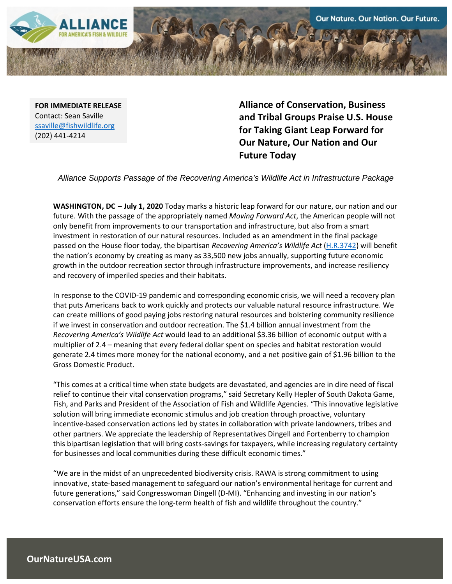

**FOR IMMEDIATE RELEASE** Contact: Sean Saville [ssaville@fishwildlife.org](mailto:ssaville@fishwildlife.org) (202) 441-4214

**Alliance of Conservation, Business and Tribal Groups Praise U.S. House for Taking Giant Leap Forward for Our Nature, Our Nation and Our Future Today**

*Alliance Supports Passage of the Recovering America's Wildlife Act in Infrastructure Package*

**WASHINGTON, DC – July 1, 2020** Today marks a historic leap forward for our nature, our nation and our future. With the passage of the appropriately named *Moving Forward Act*, the American people will not only benefit from improvements to our transportation and infrastructure, but also from a smart investment in restoration of our natural resources. Included as an amendment in the final package passed on the House floor today, the bipartisan *Recovering America's Wildlife Act* [\(H.R.3742\)](https://www.congress.gov/bill/116th-congress/house-bill/3742/cosponsors?q=%7b%22search%22:%5b%22HR3742%22%5d%7d&r=1&s=1&searchResultViewType=expanded&KWICView=false) will benefit the nation's economy by creating as many as 33,500 new jobs annually, supporting future economic growth in the outdoor recreation sector through infrastructure improvements, and increase resiliency and recovery of imperiled species and their habitats.

In response to the COVID-19 pandemic and corresponding economic crisis, we will need a recovery plan that puts Americans back to work quickly and protects our valuable natural resource infrastructure. We can create millions of good paying jobs restoring natural resources and bolstering community resilience if we invest in conservation and outdoor recreation. The \$1.4 billion annual investment from the *Recovering America's Wildlife Act* would lead to an additional \$3.36 billion of economic output with a multiplier of 2.4 – meaning that every federal dollar spent on species and habitat restoration would generate 2.4 times more money for the national economy, and a net positive gain of \$1.96 billion to the Gross Domestic Product.

"This comes at a critical time when state budgets are devastated, and agencies are in dire need of fiscal relief to continue their vital conservation programs," said Secretary Kelly Hepler of South Dakota Game, Fish, and Parks and President of the Association of Fish and Wildlife Agencies. "This innovative legislative solution will bring immediate economic stimulus and job creation through proactive, voluntary incentive-based conservation actions led by states in collaboration with private landowners, tribes and other partners. We appreciate the leadership of Representatives Dingell and Fortenberry to champion this bipartisan legislation that will bring costs-savings for taxpayers, while increasing regulatory certainty for businesses and local communities during these difficult economic times."

"We are in the midst of an unprecedented biodiversity crisis. RAWA is strong commitment to using innovative, state-based management to safeguard our nation's environmental heritage for current and future generations," said Congresswoman Dingell (D-MI). "Enhancing and investing in our nation's conservation efforts ensure the long-term health of fish and wildlife throughout the country."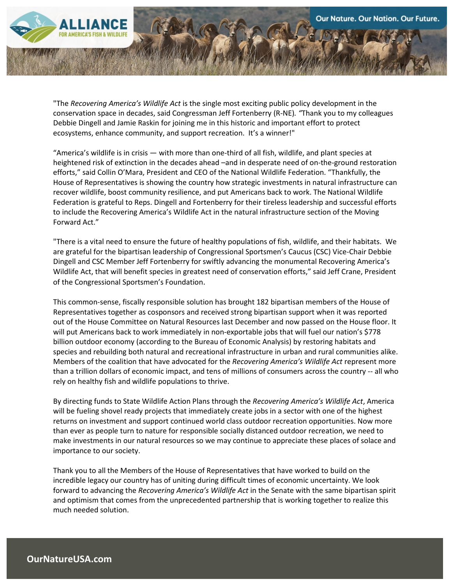"The *Recovering America's Wildlife Act* is the single most exciting public policy development in the conservation space in decades, said Congressman Jeff Fortenberry (R-NE)*. "*Thank you to my colleagues Debbie Dingell and Jamie Raskin for joining me in this historic and important effort to protect ecosystems, enhance community, and support recreation. It's a winner!"

"America's wildlife is in crisis — with more than one-third of all fish, wildlife, and plant species at heightened risk of extinction in the decades ahead –and in desperate need of on-the-ground restoration efforts," said Collin O'Mara, President and CEO of the National Wildlife Federation. "Thankfully, the House of Representatives is showing the country how strategic investments in natural infrastructure can recover wildlife, boost community resilience, and put Americans back to work. The National Wildlife Federation is grateful to Reps. Dingell and Fortenberry for their tireless leadership and successful efforts to include the Recovering America's Wildlife Act in the natural infrastructure section of the Moving Forward Act."

"There is a vital need to ensure the future of healthy populations of fish, wildlife, and their habitats. We are grateful for the bipartisan leadership of Congressional Sportsmen's Caucus (CSC) Vice-Chair Debbie Dingell and CSC Member Jeff Fortenberry for swiftly advancing the monumental Recovering America's Wildlife Act, that will benefit species in greatest need of conservation efforts," said Jeff Crane, President of the Congressional Sportsmen's Foundation.

This common-sense, fiscally responsible solution has brought 182 bipartisan members of the House of Representatives together as cosponsors and received strong bipartisan support when it was reported out of the House Committee on Natural Resources last December and now passed on the House floor. It will put Americans back to work immediately in non-exportable jobs that will fuel our nation's \$778 billion outdoor economy (according to the Bureau of Economic Analysis) by restoring habitats and species and rebuilding both natural and recreational infrastructure in urban and rural communities alike. Members of the coalition that have advocated for the *Recovering America's Wildlife Act* represent more than a trillion dollars of economic impact, and tens of millions of consumers across the country -- all who rely on healthy fish and wildlife populations to thrive.

By directing funds to State Wildlife Action Plans through the *Recovering America's Wildlife Act*, America will be fueling shovel ready projects that immediately create jobs in a sector with one of the highest returns on investment and support continued world class outdoor recreation opportunities. Now more than ever as people turn to nature for responsible socially distanced outdoor recreation, we need to make investments in our natural resources so we may continue to appreciate these places of solace and importance to our society.

Thank you to all the Members of the House of Representatives that have worked to build on the incredible legacy our country has of uniting during difficult times of economic uncertainty. We look forward to advancing the *Recovering America's Wildlife Act* in the Senate with the same bipartisan spirit and optimism that comes from the unprecedented partnership that is working together to realize this much needed solution.